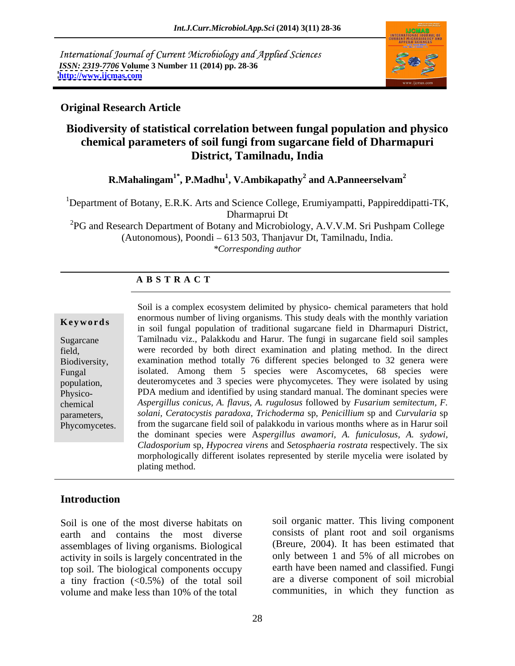International Journal of Current Microbiology and Applied Sciences *ISSN: 2319-7706* **Volume 3 Number 11 (2014) pp. 28-36 <http://www.ijcmas.com>**



# **Original Research Article**

# **Biodiversity of statistical correlation between fungal population and physico chemical parameters of soil fungi from sugarcane field of Dharmapuri District, Tamilnadu, India**

**R.Mahalingam1\* , P.Madhu<sup>1</sup> , V.Ambikapathy<sup>2</sup> and A.Panneerselvam<sup>2</sup>**

<sup>1</sup>Department of Botany, E.R.K. Arts and Science College, Erumiyampatti, Pappireddipatti-TK, Dharmaprui Dt

<sup>2</sup>PG and Research Department of Botany and Microbiology, A.V.V.M. Sri Pushpam College  $(Autonomous)$ , Poondi  $-613\,503$ , Thanjavur Dt, Tamilnadu, India. *\*Corresponding author*

# **A B S T R A C T**

**Keywords**in soil fungal population of traditional sugarcane field in Dharmapuri District, Sugarcane Tamilnadu viz., Palakkodu and Harur. The fungi in sugarcane field soil samples field, were recorded by both direct examination and plating method. In the direct Biodiversity, examination method totally 76 different species belonged to 32 genera were Fungal isolated. Among them 5 species were Ascomycetes, 68 species were population, deuteromycetes and 3 species were phycomycetes. They were isolated by using Physico- PDA medium and identified by using standard manual. The dominant species were chemical *Aspergillus conicus, A. flavus, A. rugulosus* followed by *Fusarium semitectum, F.* parameters, *solani, Ceratocystis paradoxa, Trichoderma* sp, *Penicillium* sp and *Curvularia* sp Phycomycetes. from the sugarcane field soil of palakkodu in various months where as in Harur soil Soil is a complex ecosystem delimited by physico- chemical parameters that hold enormous number of living organisms. This study deals with the monthly variation the dominant species were A*spergillus awamori, A. funiculosus, A. sydowi, Cladosporium* sp*, Hypocrea virens* and *Setosphaeria rostrata* respectively. The six morphologically different isolates represented by sterile mycelia were isolated by plating method.

# **Introduction**

Soil is one of the most diverse habitats on earth and contains the most diverse assemblages of living organisms. Biological (Breure, 2004). It has been estimated that activity in soils is largely concentrated in the only between 1 and 5% of all microbes on activity in soils is largely concentrated in the top soil. The biological components occupy a tiny fraction  $\langle 0.5\% \rangle$  of the total soil volume and make less than 10% of the total

soil organic matter. This living component consists of plant root and soil organisms (Breure, 2004). It has been estimated that only between 1 and 5% of all microbes on earth have been named and classified. Fungi are a diverse component of soil microbial communities, in which they function as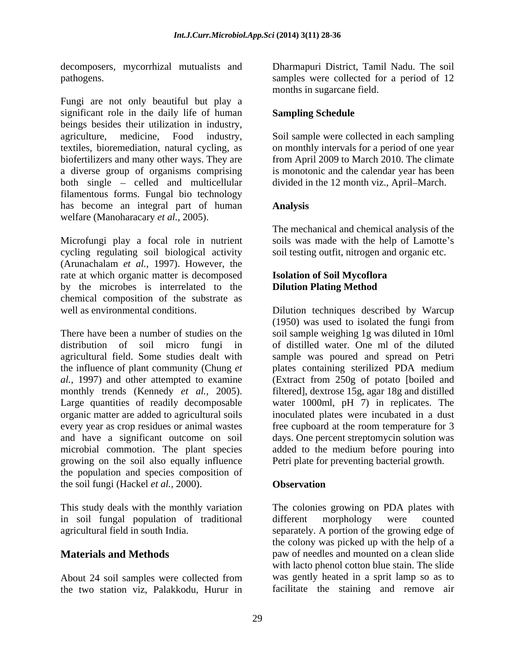decomposers, mycorrhizal mutualists and

Fungi are not only beautiful but play a significant role in the daily life of human beings besides their utilization in industry, agriculture, medicine, Food industry, Soil sample were collected in each sampling textiles, bioremediation, natural cycling, as on monthly intervals for a period of one year biofertilizers and many other ways. They are from April 2009 to March 2010. The climate a diverse group of organisms comprising is monotonic and the calendar yearhas been both single – celled and multicellular filamentous forms. Fungal bio technology has become an integral part of human **Analysis** welfare (Manoharacary *et al.,* 2005).

Microfungi play a focal role in nutrient soils was made with the help of Lamotte's cycling regulating soil biological activity (Arunachalam *et al.,* 1997). However, the rate at which organic matter is decomposed by the microbes is interrelated to the chemical composition of the substrate as

There have been a number of studies on the soil sample weighing 1g was diluted in 10ml distribution of soil micro fungi in of distilled water. One ml of the diluted agricultural field. Some studies dealt with the influence of plant community (Chung *et*  plates containing sterilized PDA medium *al.,* 1997) and other attempted to examine (Extract from 250g of potato [boiled and monthly trends (Kennedy *et al.,* 2005). filtered], dextrose 15g, agar 18g and distilled Large quantities of readily decomposable water 1000ml, pH 7) in replicates. The organic matter are added to agricultural soils inoculated plates were incubated in a dust every year as crop residues or animal wastes free cupboard at the room temperature for 3 and have a significant outcome on soil days. One percent streptomycin solution was microbial commotion. The plant species growing on the soil also equally influence the population and species composition of the soil fungi (Hackel *et al.,* 2000).

in soil fungal population of traditional

About 24 soil samples were collected from the two station viz, Palakkodu, Hurur in

pathogens. samples were collected for a period of 12 Dharmapuri District, Tamil Nadu. The soil months in sugarcane field.

## **Sampling Schedule**

divided in the 12 month viz., April–March.

## **Analysis**

The mechanical and chemical analysis of the soil testing outfit, nitrogen and organic etc.

# **Isolation of Soil Mycoflora Dilution Plating Method**

well as environmental conditions. Dilution techniques described by Warcup (1950) was used to isolated the fungi from sample was poured and spread on Petri added to the medium before pouring into Petri plate for preventing bacterial growth.

## **Observation**

This study deals with the monthly variation The colonies growing on PDA plates with agricultural field in south India. separately. A portion of the growing edge of **Materials and Methods paw of needles and mounted on a clean slide** different morphology were counted the colony was picked up with the help of a with lacto phenol cotton blue stain. The slide was gently heated in a sprit lamp so as to facilitate the staining and remove air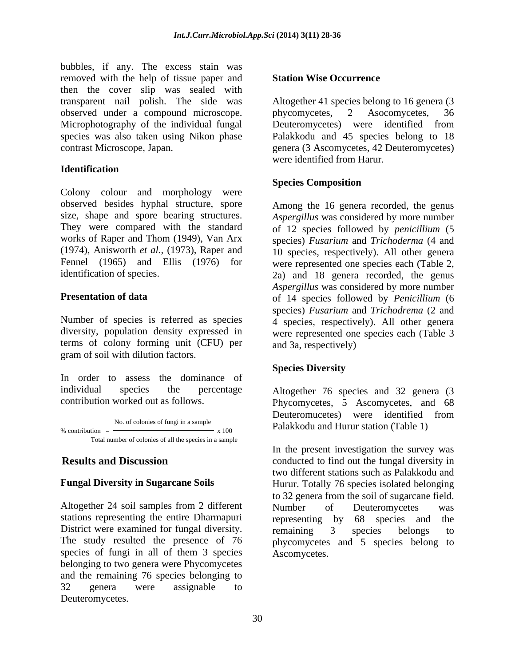bubbles, if any. The excess stain was removed with the help of tissue paper and **Station Wise Occurrence** then the cover slip was sealed with transparent nail polish. The side was Altogether 41 species belong to 16 genera (3 observed under a compound microscope. by phycomycetes, 2 Asocomycetes, 36 Microphotography of the individual fungal Deuteromycetes) were identified from species was also taken using Nikon phase Palakkodu and 45 species belong to 18

# **Identification**

Colony colour and morphology were observed besides hyphal structure, spore size, shape and spore bearing structures. *Aspergillus* was considered by more number They were compared with the standard of 12 species followed by *penicillium* (5 works of Raper and Thom (1949), Van Arx species) *Fusarium* and *Trichoderma* (4 and (1974), Anisworth *et al.,* (1973), Raper and 10 species, respectively). All other genera Fennel (1965) and Ellis (1976) for were represented one species each (Table 2,

terms of colony forming unit (CFU) per gram of soil with dilution factors.

In order to assess the dominance of individual species the percentage Altogether 76 species and 32 genera (3

% contribution  $=$  No. of colonies of fungi in a sample  $\frac{N_0}{x}$  x 100  $\frac{N_0}{x}$  Palakkodu and Hurur station (Table 1)

Altogether 24 soil samples from 2 different Number of Deuteromycetes was stations representing the entire Dharmapuri representing by 68 species and the District were examined for fungal diversity. The remaining 3 species belongs to species of fungi in all of them 3 species belonging to two genera were Phycomycetes and the remaining 76 species belonging to 32 genera were assignable to Deuteromycetes.

# **Station Wise Occurrence**

contrast Microscope, Japan. genera (3 Ascomycetes, 42 Deuteromycetes) phycomycetes, 2 Asocomycetes, 36 were identified from Harur.

# **Species Composition**

identification of species. 2a) and 18 genera recorded, the genus **Presentation of data** of 14 species followed by *Penicillium* (6 Number of species is referred as species 4 species, respectively). All other genera diversity, population density expressed in were represented one species each (Table 3 Among the 16 genera recorded, the genus *Aspergillus* was considered by more number species) *Fusarium* and *Trichodrema* (2 and and 3a, respectively)

# **Species Diversity**

contribution worked out as follows. Phycomycetes, 5 Ascomycetes, and 68 Deuteromucetes) were identified from Palakkodu and Hurur station (Table 1)

**Results and Discussion** conducted to find out the fungal diversity in **Fungal Diversity in Sugarcane Soils** Hurur. Totally 76 species isolated belonging The study resulted the presence of 76 phycomycetes and 5 species belong to In the present investigation the survey was two different stations such as Palakkodu and to 32 genera from the soil of sugarcane field. Number of Deuteromycetes was representing by 68 species and the remaining 3 species belongs to Ascomycetes.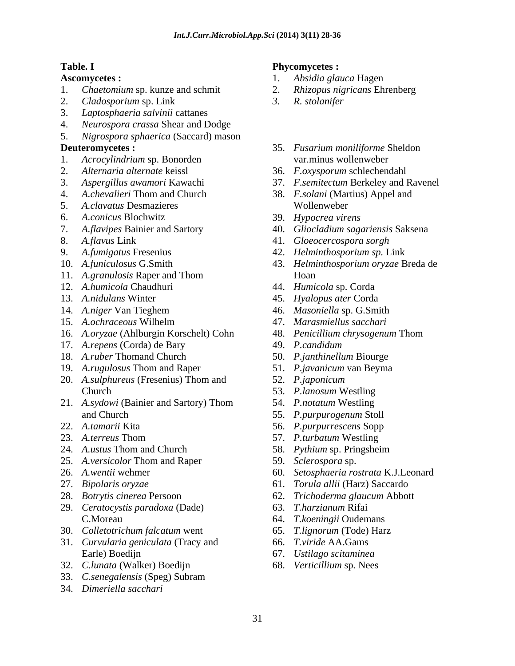- 1. *Chaetomium* sp. kunze and schmit
- 2. *Cladosporium* sp. Link
- 3. *Laptosphaeria salvinii* cattanes
- 4. *Neurospora crassa* Shear and Dodge
- 5. *Nigrospora sphaerica* (Saccard) mason

- 1. *Acrocylindrium* sp. Bonorden
- 
- 
- 4. *A.chevalieri* Thom and Church 38. *F.solani* (Martius) Appel and
- 5. *A.clavatus* Desmazieres
- 6. *A.conicus* Blochwitz
- 
- 
- 
- 
- 
- 12. *A.humicola* Chaudhuri 44. *Humicola* sp. Corda
- 
- 
- 
- 16. *A.oryzae* (Ahlburgin Korschelt) Cohn
- 17. *A.repens* (Corda) de Bary
- 18. *A.ruber* Thomand Church
- 19. *A.rugulosus* Thom and Raper
- 20. *A.sulphureus* (Fresenius) Thom and Church 53. P.lanosum Westling
- 21. *A.sydowi* (Bainier and Sartory) Thom and Church 55. *P.purpurogenum* Stoll
- 
- 
- 24. *A.ustus* Thom and Church
- 25. *A.versicolor* Thom and Raper
- 
- 
- 
- 29. *Ceratocystis paradoxa* (Dade) C.Moreau 64. T.koeningii Oudemans
- 30. *Colletotrichum falcatum* went
- 31. *Curvularia geniculata* (Tracy and Earle) Boedijn 67. Ustilago scitaminea
- 32. *C.lunata* (Walker) Boedijn
- 33. *C.senegalensis* (Speg) Subram
- 34. *Dimeriella sacchari*

### **Table. I Phycomycetes :**

- Ascomycetes :  $\qquad \qquad$  1. *Absidia glauca* Hagen 1. *Absidia glauca* Hagen
	- 2. *Rhizopus nigricans* Ehrenberg
	- *3. R. stolanifer*
- **Deuteromycetes :**  35. *Fusarium moniliforme* Sheldon var.minus wollenweber
- 2. *Alternaria alternate* keissl 36. *F.oxysporum* schlechendahl
- 3. *Aspergillus awamori* Kawachi 37. *F.semitectum* Berkeley and Ravenel
	- Wollenweber and the state of the state of the state of the state of the state of the state of the state of the state of the state of the state of the state of the state of the state of the state of the state of the state o
	- 39. *Hypocrea virens*
- 7. *A.flavipes* Bainier and Sartory 40. *Gliocladium sagariensis* Saksena
- 8. *A.flavus* Link 41. *Gloeocercospora sorgh*
- 9. *A.fumigatus* Fresenius 42. *Helminthosporium sp.* Link
- 10. *A.funiculosus* G.Smith 43. *Helminthosporium oryzae* Breda de 11. *A.granulosis* Raper and Thom Hoan **Hoan** 
	-
- 13. *A.nidulans* Winter 45. *Hyalopus ater* Corda
- 14. *A.niger* Van Tieghem 46. *Masoniella* sp. G.Smith
- 15. *A.ochraceous* Wilhelm 47. *Marasmiellus sacchari*
	- 48. *Penicillium chrysogenum* Thom
	- 49. *P.candidum*
	- 50. *P.janthinellum* Biourge
	- 51. *P.javanicum* van Beyma
	- 52. *P.japonicum*
	- 53. *P.lanosum* Westling
	- 54. *P.notatum* Westling
	-
- 22. *A.tamarii* Kita 56. *P.purpurrescens* Sopp
- 23. *A.terreus* Thom 57. *P.turbatum* Westling
	- 58. *Pythium* sp. Pringsheim
	- 59. *Sclerospora* sp.
- 26. *A.wentii* wehmer 60. *Setosphaeria rostrata* K.J.Leonard
- 27. *Bipolaris oryzae* 61. *Torula allii* (Harz) Saccardo
- 28. *Botrytis cinerea* Persoon 62. *Trichoderma glaucum* Abbott
	- 63. *T.harzianum* Rifai
	- 64. *T.koeningii* Oudemans
	- 65. *T.lignorum* (Tode) Harz
	- 66. *T.viride* AA.Gams
	- 67. *Ustilago scitaminea*
	- 68. *Verticillium* sp*.* Nees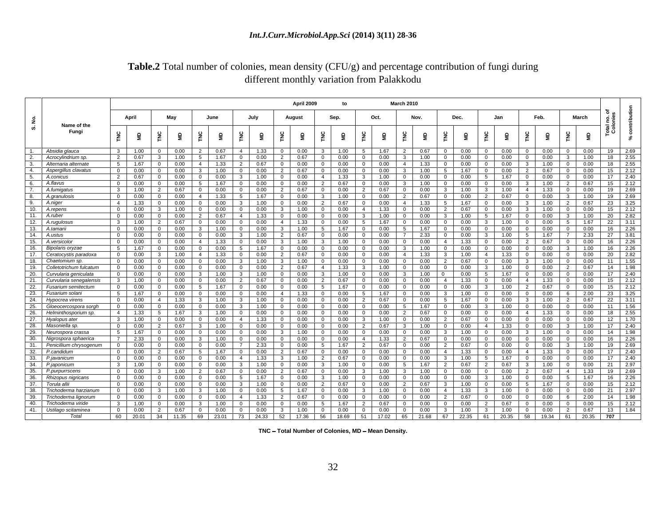### *Int.J.Curr.Microbiol.App.Sci* **(2014) 3(11) 28-36**

# **Table.2** Total number of colonies, mean density (CFU/g) and percentage contribution of fungi during different monthly variation from Palakkodu

|                                                                                                      |       |                                                                                                                                                                                                                                                                                                        |      |                                                                                                                                                                                                                                                                                                                      | April 2009 |      | <b>March 2010</b> |      |      |     |                                                           |       |  |
|------------------------------------------------------------------------------------------------------|-------|--------------------------------------------------------------------------------------------------------------------------------------------------------------------------------------------------------------------------------------------------------------------------------------------------------|------|----------------------------------------------------------------------------------------------------------------------------------------------------------------------------------------------------------------------------------------------------------------------------------------------------------------------|------------|------|-------------------|------|------|-----|-----------------------------------------------------------|-------|--|
|                                                                                                      |       |                                                                                                                                                                                                                                                                                                        |      |                                                                                                                                                                                                                                                                                                                      |            |      |                   |      |      |     |                                                           |       |  |
|                                                                                                      | April | May                                                                                                                                                                                                                                                                                                    | June | July<br>August                                                                                                                                                                                                                                                                                                       | Sep.       | Oct. |                   | Nov. | Dec. | Jan | Feb.                                                      | March |  |
| Name of the<br>Fungi                                                                                 |       |                                                                                                                                                                                                                                                                                                        |      |                                                                                                                                                                                                                                                                                                                      |            |      |                   |      |      |     |                                                           |       |  |
|                                                                                                      |       |                                                                                                                                                                                                                                                                                                        |      | ક્રાર્ટ  ક્રાર્ટ  ક્રાર્ટ  ક્રાર્ટ  ક્રાર્ટ  ક્રાર્ટ  ક્રાર્ટ  ક્રાર્ટ  ક્રાર્ટ                                                                                                                                                                                                                                      |            |      |                   |      |      |     |                                                           |       |  |
|                                                                                                      |       |                                                                                                                                                                                                                                                                                                        |      |                                                                                                                                                                                                                                                                                                                      |            |      |                   |      |      |     |                                                           |       |  |
| Absidia glauca                                                                                       |       | 3 1.00 0 0.00 2 0.0                                                                                                                                                                                                                                                                                    |      | 2 0.67 4 1.33 0 0.00 3 1.00 5 1.67 2 0.67 0 0.00 0 0.00 0 0.00 0 0.00 19                                                                                                                                                                                                                                             |            |      |                   |      |      |     |                                                           |       |  |
|                                                                                                      |       |                                                                                                                                                                                                                                                                                                        |      |                                                                                                                                                                                                                                                                                                                      |            |      |                   |      |      |     | $3$   1.00   0   0.00   0   0.00   0   0.00               |       |  |
| Alternaria alternate                                                                                 |       | 5   1.67   0   0.00   4   1.33   2   0.67   0   0.00   0   0.00   0   0.00   4   1.33   0   0.00   0   0.00   3   1.00   0   0.00   18   2.9                                                                                                                                                           |      |                                                                                                                                                                                                                                                                                                                      |            |      |                   |      |      |     |                                                           |       |  |
|                                                                                                      |       |                                                                                                                                                                                                                                                                                                        |      |                                                                                                                                                                                                                                                                                                                      |            |      |                   |      |      |     |                                                           |       |  |
|                                                                                                      |       | 2 0.67 0 0.00 0 0.00 3 1.00 0 0.00 4 1.33 3 1.00 0 0.00 0 0.00 5 1.67 0 0.00 0 0.00 17<br>$0.00$ 0 0.00 5 1.6                                                                                                                                                                                          |      |                                                                                                                                                                                                                                                                                                                      |            |      |                   |      |      |     |                                                           |       |  |
| $\frac{1}{7}$ A flavus                                                                               |       |                                                                                                                                                                                                                                                                                                        |      |                                                                                                                                                                                                                                                                                                                      |            |      |                   |      |      |     |                                                           |       |  |
| 7. A.fumigatus<br>8. A.granulosis                                                                    |       |                                                                                                                                                                                                                                                                                                        |      |                                                                                                                                                                                                                                                                                                                      |            |      |                   |      |      |     |                                                           |       |  |
|                                                                                                      |       | $\begin{array}{ c c c c c c c c } \hline 4 & 1.33 & 0 & 0.00 & 0 & 0.00 \\ \hline \end{array}$                                                                                                                                                                                                         |      |                                                                                                                                                                                                                                                                                                                      |            |      |                   |      |      |     |                                                           |       |  |
| 9. A.niger<br>10. A.repens                                                                           |       |                                                                                                                                                                                                                                                                                                        |      | $\begin{array}{ccccccccccccccccccccccccccccc} 0 & 3 & 1.00 & 0 & 0.00 & 2 & 0.67 & 0 & 0.00 & 4 & 1.33 & 5 & 1.67 & 0 & 0.00 & 3 & 1.00 & 2 & 0.67 & 23 \\ \hline 0 & 0 & 0.00 & 3 & 1.00 & 0 & 0.00 & 2 & 0.67 & 0 & 0.00 & 3 & 1.00 & 2 & 0.67 & 23 \\ \hline 0 & 0 & 0.00 & 3 & 1.00 & 0 & 0.00 & 4 & 1.33 & 0 &$ |            |      |                   |      |      |     |                                                           |       |  |
|                                                                                                      |       | 0 0.00 0 0.00 2 0.67 4 1.33 0 0.00 0 0.00 3 1.00 0 0.00 3 1.00 5 1.67 0 0.00 3 1.00 20 2.8                                                                                                                                                                                                             |      |                                                                                                                                                                                                                                                                                                                      |            |      |                   |      |      |     |                                                           |       |  |
| 11. A.ruber<br>12. A.rugulosus<br>13. A.tamarii                                                      |       |                                                                                                                                                                                                                                                                                                        |      |                                                                                                                                                                                                                                                                                                                      |            |      |                   |      |      |     |                                                           |       |  |
|                                                                                                      |       |                                                                                                                                                                                                                                                                                                        |      |                                                                                                                                                                                                                                                                                                                      |            |      |                   |      |      |     |                                                           |       |  |
| 14. Austus<br>15. A.versicolor                                                                       |       | 0 0.00 0 0.00 0 0.00 0 0.00 3 0.00 0 2 0.67 0 0.00 0 0.00 7 2.33 0 0.00 3 1.00 5 1.67 7 2.33 27                                                                                                                                                                                                        |      |                                                                                                                                                                                                                                                                                                                      |            |      |                   |      |      |     |                                                           |       |  |
| Bipolaris orvzae                                                                                     |       |                                                                                                                                                                                                                                                                                                        |      |                                                                                                                                                                                                                                                                                                                      |            |      |                   |      |      |     | 3   1.00   0   0.00   0   0.00   0   0.00   3   1.00   16 |       |  |
| Ceratocystis paradoxa                                                                                |       |                                                                                                                                                                                                                                                                                                        |      |                                                                                                                                                                                                                                                                                                                      |            |      |                   |      |      |     |                                                           |       |  |
|                                                                                                      |       |                                                                                                                                                                                                                                                                                                        |      |                                                                                                                                                                                                                                                                                                                      |            |      |                   |      |      |     |                                                           |       |  |
| Colletotrichum fulcatum                                                                              |       |                                                                                                                                                                                                                                                                                                        |      |                                                                                                                                                                                                                                                                                                                      |            |      |                   |      |      |     |                                                           |       |  |
| Curvularia geniculata                                                                                |       |                                                                                                                                                                                                                                                                                                        |      |                                                                                                                                                                                                                                                                                                                      |            |      |                   |      |      |     |                                                           |       |  |
|                                                                                                      |       |                                                                                                                                                                                                                                                                                                        |      |                                                                                                                                                                                                                                                                                                                      |            |      |                   |      |      |     |                                                           |       |  |
| Fusarium semitectum                                                                                  |       | 0.00 0 0.00 5 1.67 0 0.00 0 0 0.00 5 1.67 0 0.00 0 0.00 0 0.00 0 0.00 3 1.00 2 0.67 0 0.00 1.5                                                                                                                                                                                                         |      |                                                                                                                                                                                                                                                                                                                      |            |      |                   |      |      |     |                                                           |       |  |
| rusarium solani                                                                                      |       |                                                                                                                                                                                                                                                                                                        |      | 10 0.00 4 1.33 0 0.00 5 1.67 0 0.00 3 1.00 0 0.00 0 0.00 6 2.00 23                                                                                                                                                                                                                                                   |            |      |                   |      |      |     |                                                           |       |  |
| Hypocrea virens                                                                                      |       |                                                                                                                                                                                                                                                                                                        |      |                                                                                                                                                                                                                                                                                                                      |            |      |                   |      |      |     |                                                           |       |  |
| Gloeocercospora so<br>Helminthosporium sp.                                                           |       |                                                                                                                                                                                                                                                                                                        |      |                                                                                                                                                                                                                                                                                                                      |            |      |                   |      |      |     |                                                           |       |  |
|                                                                                                      |       |                                                                                                                                                                                                                                                                                                        |      |                                                                                                                                                                                                                                                                                                                      |            |      |                   |      |      |     |                                                           |       |  |
| $\frac{27.}{28.}$ Hyalopus ater<br>Masoniella sp.                                                    |       |                                                                                                                                                                                                                                                                                                        |      |                                                                                                                                                                                                                                                                                                                      |            |      |                   |      |      |     |                                                           |       |  |
| . Neurospora crassa                                                                                  |       |                                                                                                                                                                                                                                                                                                        |      |                                                                                                                                                                                                                                                                                                                      |            |      |                   |      |      |     |                                                           |       |  |
| Nigrospora sphaerica                                                                                 |       |                                                                                                                                                                                                                                                                                                        |      |                                                                                                                                                                                                                                                                                                                      |            |      |                   |      |      |     |                                                           |       |  |
| Penicillium chrysogenum                                                                              |       | $\begin{array}{ ccccccccccccccccccccccc }\hline 0&0.00&0&0.00&0&0.00&0&0.000&7&2.33&0&0.00&5&1.67&2&0.67&0&0.00&0&0&0.00&0&0&0.000&3&1.00&19&2.6&0.00&0.00&0&0.00&0&0.00&0&0.00&0&0.00&0&0.00&0&0.00&0&0.00&0&0.00&0&0.00&0&0&0.00&0&0&0.00&0&0&0.00&0&0&0&$                                           |      |                                                                                                                                                                                                                                                                                                                      |            |      |                   |      |      |     |                                                           |       |  |
| 31. Fernelmann chrysog<br>32. P.candidum<br>33. P.javanicum<br>34. P.japonicum<br>35. P.purpurrscens |       |                                                                                                                                                                                                                                                                                                        |      |                                                                                                                                                                                                                                                                                                                      |            |      |                   |      |      |     |                                                           |       |  |
|                                                                                                      |       |                                                                                                                                                                                                                                                                                                        |      |                                                                                                                                                                                                                                                                                                                      |            |      |                   |      |      |     |                                                           |       |  |
|                                                                                                      |       |                                                                                                                                                                                                                                                                                                        |      |                                                                                                                                                                                                                                                                                                                      |            |      |                   |      |      |     |                                                           |       |  |
| <b>Rhizopus nigricans</b>                                                                            |       |                                                                                                                                                                                                                                                                                                        |      |                                                                                                                                                                                                                                                                                                                      |            |      |                   |      |      |     |                                                           |       |  |
|                                                                                                      |       |                                                                                                                                                                                                                                                                                                        |      |                                                                                                                                                                                                                                                                                                                      |            |      |                   |      |      |     |                                                           |       |  |
| Trichoderma harzianum                                                                                |       |                                                                                                                                                                                                                                                                                                        |      |                                                                                                                                                                                                                                                                                                                      |            |      |                   |      |      |     |                                                           |       |  |
| richoderma lignorum                                                                                  |       |                                                                                                                                                                                                                                                                                                        |      |                                                                                                                                                                                                                                                                                                                      |            |      |                   |      |      |     |                                                           |       |  |
| Trichoderma viride                                                                                   |       |                                                                                                                                                                                                                                                                                                        |      |                                                                                                                                                                                                                                                                                                                      |            |      |                   |      |      |     |                                                           |       |  |
| 41. Ustilago scitaminea<br>Total                                                                     |       | $\begin{array}{ccccccccccccccccccccc} 0 & 0.00 & 2 & 0.67 & 0 & 0.00 & 0 & 0.00 & 3 & 1.00 & 0 & 0.00 & 0 & 0.00 & 0 & 0.00 & 3 & 1.00 & 0 & 0.00 & 0 & 0.00 & 3 & 1.00 & 0 & 0.00 & 3 & 1.00 & 0 & 0.00 & 3 & 0.00 & 3 & 1.00 & 0 & 0.00 & 3 & 0.00 & 0 & 0 & 0.00 & 0 & 0 & 0.00 & 0 & 0 & 0 & 0 & $ |      |                                                                                                                                                                                                                                                                                                                      |            |      |                   |      |      |     |                                                           |       |  |
|                                                                                                      |       |                                                                                                                                                                                                                                                                                                        |      |                                                                                                                                                                                                                                                                                                                      |            |      |                   |      |      |     |                                                           |       |  |

**TNC - Total Number of Colonies, MD - Mean Density.**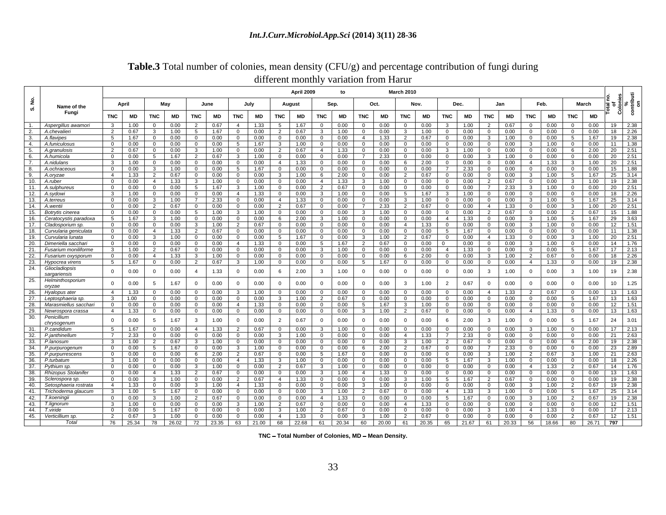|                                         | different monthly variation from Hartle                                                                                                                                                                                                                                                               |
|-----------------------------------------|-------------------------------------------------------------------------------------------------------------------------------------------------------------------------------------------------------------------------------------------------------------------------------------------------------|
|                                         | <b>March 2010</b><br>April 2009                                                                                                                                                                                                                                                                       |
|                                         |                                                                                                                                                                                                                                                                                                       |
| Name of the<br>Fungi                    | <b>March</b><br>April<br>June<br>August<br>July<br>Nov.<br>Feb.<br>May<br>Oct.<br>Dec.<br>Jan<br>Sep.                                                                                                                                                                                                 |
|                                         | TNC  MD  TNC  MD  TNC  MD  TNC  MD  TNC  MD  TNC  MD  TNC  MD  TNC  MD  TNC  MD  TNC  MD  TNC  MD  TNC  MD                                                                                                                                                                                            |
|                                         | Aspergillus awamori 3 1.00 0 0.00 2 0.67 4 1.33 5 1.67 0 0.00 0 0.00 0 0.00 3 1.00 2 0.67 0 0.00 0 0.00 19 2.35                                                                                                                                                                                       |
|                                         |                                                                                                                                                                                                                                                                                                       |
|                                         |                                                                                                                                                                                                                                                                                                       |
|                                         |                                                                                                                                                                                                                                                                                                       |
|                                         |                                                                                                                                                                                                                                                                                                       |
|                                         | 7   2.33   0   0.00   0   0.00   3   1.00                                                                                                                                                                                                                                                             |
| A.ochraceous                            |                                                                                                                                                                                                                                                                                                       |
|                                         |                                                                                                                                                                                                                                                                                                       |
|                                         | 0.00   4   1.33   3   1.00   0   0.00   0   0.00   2   0.67   0   0.00   3   1.00   19                                                                                                                                                                                                                |
|                                         |                                                                                                                                                                                                                                                                                                       |
|                                         | $\begin{array}{c cccccc} 0 & 0.00 & 4 & 1.33 & 3 & 1.00 & 0 \\ \hline 0 & 0.00 & 0 & 0.00 & 5 & 1.67 & 3 \\ \hline 3 & 1.00 & 0 & 0.00 & 0 & 0.00 & 4 \\ \hline \end{array}$                                                                                                                          |
| 12. A.sydowi<br>13. A.terreus           |                                                                                                                                                                                                                                                                                                       |
|                                         |                                                                                                                                                                                                                                                                                                       |
|                                         |                                                                                                                                                                                                                                                                                                       |
|                                         |                                                                                                                                                                                                                                                                                                       |
|                                         |                                                                                                                                                                                                                                                                                                       |
| Curvularia geniculata                   | 0   0.00   3   1.00   0   0.00   0   0.00   5   1.67   0   0.00   3   1.00   2   0.67   0                                                                                                                                                                                                             |
| urvularia lunata<br>⊃imeriella sacchari |                                                                                                                                                                                                                                                                                                       |
|                                         |                                                                                                                                                                                                                                                                                                       |
|                                         |                                                                                                                                                                                                                                                                                                       |
| Hypocrea virens                         |                                                                                                                                                                                                                                                                                                       |
| Gliocladiopsis                          | $0\qquad 0.00$<br>$0 \t 0.00 \t 3 \t 1.00 \t 19 \t 2.38$<br>$\begin{array}{ c c c c c c c c } \hline 0.00 & 4 & 1.33 \hline \end{array}$                                                                                                                                                              |
| sargariensis                            | 0 0.00 0 0.00 4 1.33 0 0.00 6 2.00 3 1.00 0 0.00 0 0.00 0 0.00 3 1.00 0 0.00 3 1.00 19 2.38                                                                                                                                                                                                           |
| Helminthosporium                        | 0 0.00 5 1.67 0 0.00 0 0.00 0 0.00 0 0.00 0 0.00 0 0.00 0 3 1.00 2 0.67 0 0.00 0 0.00 0 0.00 10 1.25                                                                                                                                                                                                  |
| oryzae                                  |                                                                                                                                                                                                                                                                                                       |
| Hyalopus ater<br>Leptosphaeria sp.      |                                                                                                                                                                                                                                                                                                       |
| Marasmiellus sacchari                   | $\begin{array}{cccccccccccccccccccc} 3 & 1.00 & 0 & 0.00 & 0 & 0.00 & 0 & 0.00 & 0 & 0.00 & 3 & 1.00 & 2 & 0.67 & 0 & 0.00 & 0 & 0.00 & 0 & 0.00 & 0 & 0.00 & 5 & 1.67 & 13 \\ 0 & 0.00 & 0 & 0.00 & 0 & 0.00 & 0 & 0.00 & 4 & 1.33 & 0 & 0.00 & 0 & 0.00 & 5 & 1.67 & 3 & 1.00 & 0 & 0.00 & 0 & 0.0$ |
|                                         |                                                                                                                                                                                                                                                                                                       |
|                                         | 0   0.00   5   1.67   3   1.00   0   0.00   2   0.67   0   0.00   0   0.00   0   0.00   6   2.00   3   1.00   0   0.00   5   1.67   24   3.01                                                                                                                                                         |
|                                         |                                                                                                                                                                                                                                                                                                       |
|                                         |                                                                                                                                                                                                                                                                                                       |
| P.janthinellum                          |                                                                                                                                                                                                                                                                                                       |
|                                         |                                                                                                                                                                                                                                                                                                       |
|                                         | I 0 I 0.00 I 6 I 2.00 I 2 I 0.67 I 0 I                                                                                                                                                                                                                                                                |
|                                         | 0 0.00 0 0.00 6 2.00 2 0.67 0 0.00 5 1.67 0 0.00 0 0.00 0 0.00 3 1.00 2 0.67 3 1.00 21                                                                                                                                                                                                                |
|                                         | 3 1.00 0 0.00 0 0.00 4 1.33 3 1.00 0 0.00 0 0.00 0 0.00 5 1.67 3 1.00 0 0.00 0 0.00 18                                                                                                                                                                                                                |
| izopus Stolanifer                       | 0 0.00 0 0.00 3 1.00 0 0                                                                                                                                                                                                                                                                              |
|                                         | $\begin{array}{c ccccccccc}\n\hline\n0 & 0.00 & 3 & 1.00 & 0 & 0.00 & 2 & 0.67 & 4 & 1.33 & 0 & 0.00 & 0 & 0.00 & 3 & 1.00 & 5 & 1\n\end{array}$                                                                                                                                                      |
| etosphaeria rostrata                    |                                                                                                                                                                                                                                                                                                       |
|                                         | versin costrata di 1.33 0 0.00 3 1.00 4 1.33 0 0.00 0 0.00 3 1.00 0 0.00 0 0.00 0 0.00 3 1.00 2 0.67 19 2<br>- arma glaucum 3 1.00 5 1.67 0 0.00 0 0.00 0 0.00 3 1.00 2 0.67 0 0.00 4 1.33 3 1.00 0 0.00 5 1.67 25 3<br>- arma glauc                                                                  |
|                                         |                                                                                                                                                                                                                                                                                                       |
|                                         |                                                                                                                                                                                                                                                                                                       |
|                                         |                                                                                                                                                                                                                                                                                                       |
|                                         |                                                                                                                                                                                                                                                                                                       |
|                                         |                                                                                                                                                                                                                                                                                                       |

### **Table.3** Total number of colonies, mean density (CFU/g) and percentage contribution of fungi during different monthly variation from Harur

**TNC - Total Number of Colonies, MD - Mean Density.**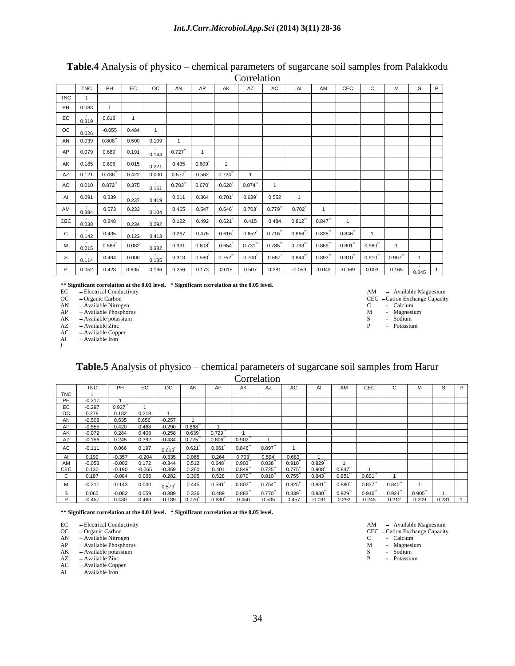| Table.4<br>chemical parameters of sugarcane soil samples from Palakkodu<br>. physico $-$<br>Analysis |  |
|------------------------------------------------------------------------------------------------------|--|
| orrelation                                                                                           |  |

|                                                                                                                                                                     |       |                                                                                                                                                                                                                                                                                                                                                                                                                          | Correnancie |                |             |
|---------------------------------------------------------------------------------------------------------------------------------------------------------------------|-------|--------------------------------------------------------------------------------------------------------------------------------------------------------------------------------------------------------------------------------------------------------------------------------------------------------------------------------------------------------------------------------------------------------------------------|-------------|----------------|-------------|
| TNC PH                                                                                                                                                              |       | $\wedge$ $\Box$<br>$\Delta K$                                                                                                                                                                                                                                                                                                                                                                                            |             | $\overline{A}$ | --          |
| —————————<br>TNC   1<br>______                                                                                                                                      |       |                                                                                                                                                                                                                                                                                                                                                                                                                          |             |                |             |
| PH 0.083                                                                                                                                                            |       |                                                                                                                                                                                                                                                                                                                                                                                                                          |             |                |             |
| 0.618<br>$\bigcap$ $\bigcap$ 319                                                                                                                                    |       |                                                                                                                                                                                                                                                                                                                                                                                                                          |             |                |             |
| OC $\Big  0.026 \Big  0.055 \Big  0.484 \Big $                                                                                                                      |       |                                                                                                                                                                                                                                                                                                                                                                                                                          |             |                |             |
| AN 0.039 0.808 0.500 0.109 1                                                                                                                                        |       |                                                                                                                                                                                                                                                                                                                                                                                                                          |             |                |             |
|                                                                                                                                                                     |       |                                                                                                                                                                                                                                                                                                                                                                                                                          |             |                |             |
| AK 0.185 0.606 0.015 0.221                                                                                                                                          |       | $0.435$ $0.609$                                                                                                                                                                                                                                                                                                                                                                                                          |             |                |             |
| AZ   0.121   0.788   0.422   0.000   0.577   0.562   0.724 "                                                                                                        |       |                                                                                                                                                                                                                                                                                                                                                                                                                          |             |                |             |
|                                                                                                                                                                     |       | $C = \left[ \begin{array}{c c} 0.010 & 0.872 \end{array} \right] = \left[ \begin{array}{c c} 0.375 & 0.161 \end{array} \right] = \left[ \begin{array}{c c} 0.783 & 0.670 \end{array} \right] = \left[ \begin{array}{c c} 0.628 & 0.874 \end{array} \right] = \left[ \begin{array}{c} 0.874 \end{array} \right] = \left[ \begin{array}{c} 0.002 & 0.002 \end{array} \right] = \left[ \begin{array}{c} 0.002 & 0.002 \end$ |             |                |             |
| Al 0.091 0.339 0.237 0.419 0.11                                                                                                                                     |       | $0.011$ 0.364 0.701 0.639 0.552                                                                                                                                                                                                                                                                                                                                                                                          |             |                |             |
|                                                                                                                                                                     |       |                                                                                                                                                                                                                                                                                                                                                                                                                          |             |                |             |
|                                                                                                                                                                     |       | M 0.384 0.573 0.233 0.104 0.465 0.547 0.646 0.703 0.779 0.702 1                                                                                                                                                                                                                                                                                                                                                          |             |                |             |
| $EC$ 0.238 0.248 0.234 0.292                                                                                                                                        |       |                                                                                                                                                                                                                                                                                                                                                                                                                          |             |                |             |
|                                                                                                                                                                     |       |                                                                                                                                                                                                                                                                                                                                                                                                                          |             |                |             |
| $\begin{array}{ c c c c c c c c } \hline \begin{array}{c} 0.215 & 0.588 & 0.082 & 0.382 \ \end{array} & \begin{array}{c} 0.382 & 0.382 \ \end{array} & \end{array}$ |       |                                                                                                                                                                                                                                                                                                                                                                                                                          |             |                |             |
| $0.494$ 0.000                                                                                                                                                       | 0.135 | 0.313   0.580   0.752   0.700   0.687   0.844   0.893   0.910   0.910                                                                                                                                                                                                                                                                                                                                                    |             |                | ——<br>0.907 |
|                                                                                                                                                                     |       |                                                                                                                                                                                                                                                                                                                                                                                                                          |             |                |             |

**\*\* Significant correlation at the 0.01 level. \* Significant correlation at the 0.05 level.**

EC - Electrical Conductivity **AM** - Available Magnesium

OC – Organic Carbon Carbon CEC – Cation Exchange Capacity

AN - Available Nitrogen and the contract of the contract of the contract of the contract of the contract of the contract of the contract of the contract of the contract of the contract of the contract of the contract of th

AP  $-A$ vailable Phosphorus and the set of the set of the set of the set of the set of the Magnesium of the Magnesium

AK - Available potassium states of the state of the state of the state of the state of the state of the state of the state of the state of the state of the state of the state of the state of the state of the state of the s

AC  $-Available Copper$ 

AI  $-A$ vailable Iron **/**

AZ  $-A$ vailable Zinc P  $\overline{P}$  - Potassium

### Table.5 Analysis of physico – chemical parameters of sugarcane soil samples from Harur **Correlation**

| _____                           |       |                                                                           |                                          |                                                                                                                                           |
|---------------------------------|-------|---------------------------------------------------------------------------|------------------------------------------|-------------------------------------------------------------------------------------------------------------------------------------------|
|                                 |       |                                                                           | $\sim$ $\sim$ $\sim$                     | <u>AMICECIC IMISIF</u>                                                                                                                    |
| $\cdots$                        |       |                                                                           |                                          |                                                                                                                                           |
|                                 |       |                                                                           |                                          |                                                                                                                                           |
|                                 |       |                                                                           |                                          |                                                                                                                                           |
|                                 |       |                                                                           |                                          |                                                                                                                                           |
| $0.210$ $0.102$ $0.102$ $0.210$ |       |                                                                           |                                          |                                                                                                                                           |
|                                 |       |                                                                           |                                          |                                                                                                                                           |
|                                 |       | U.468                                                                     |                                          |                                                                                                                                           |
|                                 | 0.284 | 0.408<br>$-0.258$ 0.639                                                   |                                          |                                                                                                                                           |
|                                 |       | <u>  A2   -0.100   0.245   0.392   -0.434   0.775   0.806   0.902    </u> |                                          |                                                                                                                                           |
| $-0.111$<br>AC                  | 0.066 | 10.197                                                                    | I 0.89                                   |                                                                                                                                           |
| — <del>—</del>                  |       |                                                                           |                                          |                                                                                                                                           |
|                                 |       |                                                                           |                                          |                                                                                                                                           |
| AM -0.053                       |       | $-0.002$ $0.172$ $-0.344$ $0.512$ $0.648$ $0.903$ $0.838$ $0.910$ 0.      |                                          |                                                                                                                                           |
|                                 |       |                                                                           |                                          |                                                                                                                                           |
| $\frac{1}{2}$<br>,,,,,          |       |                                                                           |                                          |                                                                                                                                           |
| $\sim$ $\sim$                   |       |                                                                           |                                          |                                                                                                                                           |
|                                 |       |                                                                           | $0.880^{''}$<br>$0.754$ 0.825<br>L 0.831 | 0.840                                                                                                                                     |
| _____                           |       | 0.336                                                                     | 0.883   0.770"   0.830"   0<br>് വാറ്    | $0.020$ $0.046$                                                                                                                           |
|                                 |       |                                                                           |                                          | വ രാ⊿<br>L O OOE<br><u>  1 0.524 0.500 0.465 0.966 0.770 0.055 0.555 0.956 0.955 0.9540 0.974 0.966.0 0.067 0.966 0.071 0.966 0.071 0</u> |
|                                 |       |                                                                           |                                          |                                                                                                                                           |

**\*\* Significant correlation at the 0.01 level. \* Significant correlation at the 0.05 level.**

OC – Organic Carbon Carbon CEC – Cation Exchange Capacity

AN - Available Nitrogen **C** - Calcium

AP Available Phosphorus M - Magnesium

AK - Available potassium states of the state of the state of the state of the Sodium S S - Sodium S S - Sodium

AZ - Available Zinc **P** - Potassium

AC  $-A$ vailable Copper AC - Available Copper<br>AI - Available Iron

EC - Electrical Conductivity **Alterial Conductivity Alterial Conductivity Alterial Conductivity Alterial Conductivity**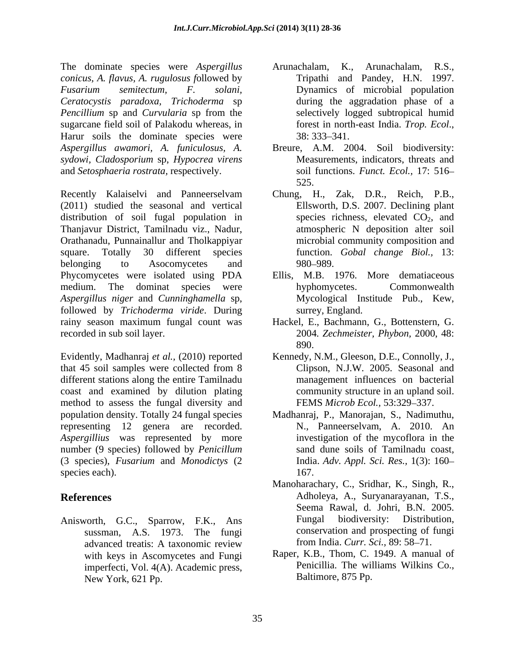The dominate species were *Aspergillus conicus, A. flavus, A. rugulosus f*ollowed by *Ceratocystis paradoxa, Trichoderma* sp *Pencillium* sp and *Curvularia* sp from the sugarcane field soil of Palakodu whereas, in forest in north-east India. Trop. Ecol., Harur soils the dominate species were 38:333–341. *Aspergillus awamori, A. funiculosus, A.* Breure, A.M. 2004. Soil biodiversity: *sydowi, Cladosporium* sp, *Hypocrea virens* and *Setosphaeria rostrata,* respectively.

Recently Kalaiselvi and Panneerselvam Chung, H., Zak, D.R., Reich, P.B., (2011) studied the seasonal and vertical distribution of soil fugal population in Thanjavur District, Tamilnadu viz., Nadur, Orathanadu, Punnainallur and Tholkappiyar square. Totally 30 different species function. *Gobal change Biol.,* 13: belonging to Asocomycetes and 980–989. Phycomycetes were isolated using PDA Ellis, M.B. 1976. More dematiaceous medium. The dominat species were hyphomycetes. Commonwealth *Aspergillus niger* and *Cunninghamella* sp, followed by *Trichoderma viride*. During rainy season maximum fungal count was recorded in sub soil layer. 2004. Zechmeister, Phybon, 2000, 48:

Evidently, Madhanraj *et al.,* (2010) reported that 45 soil samples were collected from 8 different stations along the entire Tamilnadu coast and examined by dilution plating method to assess the fungal diversity and population density. Totally 24 fungal species Madhanraj, P., Manorajan, S., Nadimuthu, representing 12 genera are recorded. *Aspergillius* was represented by more number (9 species) followed by *Penicillum*  (3 species), *Fusarium* and *Monodictys* (2 species each).  $167.$ 

advanced treatis: A taxonomic review with keys in Ascomycetes and Fungi imperfecti, Vol. 4(A). Academic press, New York, 621 Pp.

- *Fusarium semitectum, F. solani,*  Dynamics of microbial population Arunachalam, K., Arunachalam, R.S.,<br>Tripathi and Pandey, H.N. 1997. during the aggradation phase of a selectively logged subtropical humid forest in north-east India. *Trop. Ecol.*, 38: 333–341.
	- Measurements, indicators, threats and soil functions. *Funct. Ecol.,* 17: 516 525.
	- Ellsworth, D.S. 2007. Declining plant species richness, elevated  $CO<sub>2</sub>$ , and atmospheric N deposition alter soil microbial community composition and 980–989. In the set of the set of the set of the set of the set of the set of the set of the set of the set of the set of the set of the set of the set of the set of the set of the set of the set of the set of the set of t
	- hyphomycetes. Commonwealth Mycological Institude Pub., Kew, surrey, England.
	- Hackel, E., Bachmann, G., Bottenstern, G. 890.
	- Kennedy, N.M., Gleeson, D.E., Connolly, J., Clipson, N.J.W. 2005. Seasonal and management influences on bacterial community structure in an upland soil. FEMS *Microb Ecol.*, 53:329-337.
	- N., Panneerselvam, A. 2010. An investigation of the mycoflora in the sand dune soils of Tamilnadu coast, India. *Adv. Appl. Sci. Res.,* 1(3): 160 167.
- **References** Adholeya, A., Suryanarayanan, T.S., Anisworth, G.C., Sparrow, F.K., Ans Fungal biodiversity: Distribution, sussman, A.S. 1973. The fungi conservation and prospecting of fungi Manoharachary, C., Sridhar, K., Singh, R., Seema Rawal, d. Johri, B.N. 2005. Fungal biodiversity: Distribution, from India. *Curr. Sci.*, 89: 58-71.
	- Raper, K.B., Thom, C. 1949. A manual of Penicillia. The williams Wilkins Co., Baltimore, 875 Pp.